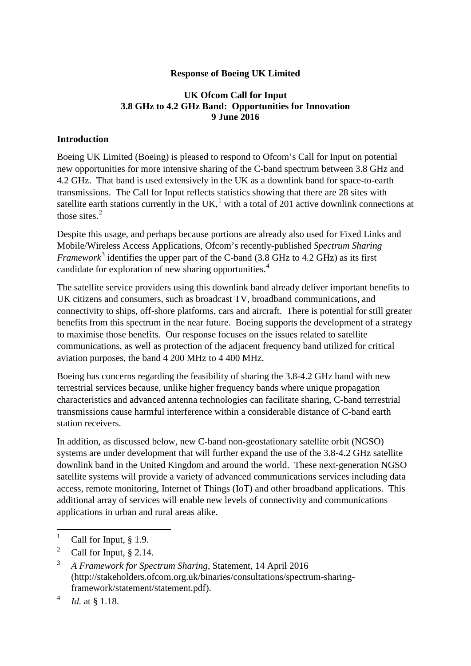#### **Response of Boeing UK Limited**

#### **UK Ofcom Call for Input 3.8 GHz to 4.2 GHz Band: Opportunities for Innovation 9 June 2016**

#### **Introduction**

Boeing UK Limited (Boeing) is pleased to respond to Ofcom's Call for Input on potential new opportunities for more intensive sharing of the C-band spectrum between 3.8 GHz and 4.2 GHz. That band is used extensively in the UK as a downlink band for space-to-earth transmissions. The Call for Input reflects statistics showing that there are 28 sites with satellite earth stations currently in the UK,<sup>[1](#page-0-0)</sup> with a total of 201 active downlink connections at those sites.<sup>[2](#page-0-1)</sup>

Despite this usage, and perhaps because portions are already also used for Fixed Links and Mobile/Wireless Access Applications, Ofcom's recently-published *Spectrum Sharing Framework*<sup>[3](#page-0-2)</sup> identifies the upper part of the C-band  $(3.8 \text{ GHz to } 4.2 \text{ GHz})$  as its first candidate for exploration of new sharing opportunities.<sup>[4](#page-0-3)</sup>

The satellite service providers using this downlink band already deliver important benefits to UK citizens and consumers, such as broadcast TV, broadband communications, and connectivity to ships, off-shore platforms, cars and aircraft. There is potential for still greater benefits from this spectrum in the near future. Boeing supports the development of a strategy to maximise those benefits. Our response focuses on the issues related to satellite communications, as well as protection of the adjacent frequency band utilized for critical aviation purposes, the band 4 200 MHz to 4 400 MHz.

Boeing has concerns regarding the feasibility of sharing the 3.8-4.2 GHz band with new terrestrial services because, unlike higher frequency bands where unique propagation characteristics and advanced antenna technologies can facilitate sharing, C-band terrestrial transmissions cause harmful interference within a considerable distance of C-band earth station receivers.

In addition, as discussed below, new C-band non-geostationary satellite orbit (NGSO) systems are under development that will further expand the use of the 3.8-4.2 GHz satellite downlink band in the United Kingdom and around the world. These next-generation NGSO satellite systems will provide a variety of advanced communications services including data access, remote monitoring, Internet of Things (IoT) and other broadband applications. This additional array of services will enable new levels of connectivity and communications applications in urban and rural areas alike.

<span id="page-0-0"></span>Call for Input,  $\S$  1.9.  $\mathbf{1}$ 

<span id="page-0-1"></span><sup>&</sup>lt;sup>2</sup> Call for Input,  $§$  2.14.

<span id="page-0-2"></span><sup>3</sup> *A Framework for Spectrum Sharing*, Statement, 14 April 2016 (http://stakeholders.ofcom.org.uk/binaries/consultations/spectrum-sharingframework/statement/statement.pdf).

<span id="page-0-3"></span><sup>4</sup> *Id.* at § 1.18.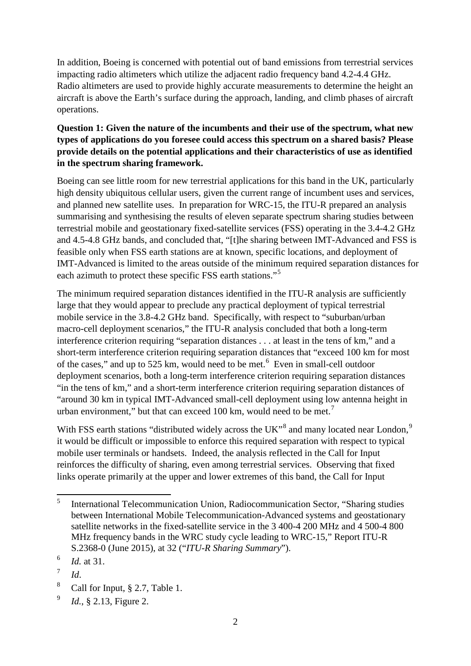In addition, Boeing is concerned with potential out of band emissions from terrestrial services impacting radio altimeters which utilize the adjacent radio frequency band 4.2-4.4 GHz. Radio altimeters are used to provide highly accurate measurements to determine the height an aircraft is above the Earth's surface during the approach, landing, and climb phases of aircraft operations.

# **Question 1: Given the nature of the incumbents and their use of the spectrum, what new types of applications do you foresee could access this spectrum on a shared basis? Please provide details on the potential applications and their characteristics of use as identified in the spectrum sharing framework.**

Boeing can see little room for new terrestrial applications for this band in the UK, particularly high density ubiquitous cellular users, given the current range of incumbent uses and services, and planned new satellite uses. In preparation for WRC-15, the ITU-R prepared an analysis summarising and synthesising the results of eleven separate spectrum sharing studies between terrestrial mobile and geostationary fixed-satellite services (FSS) operating in the 3.4-4.2 GHz and 4.5-4.8 GHz bands, and concluded that, "[t]he sharing between IMT-Advanced and FSS is feasible only when FSS earth stations are at known, specific locations, and deployment of IMT-Advanced is limited to the areas outside of the minimum required separation distances for each azimuth to protect these specific FSS earth stations."<sup>[5](#page-1-0)</sup>

The minimum required separation distances identified in the ITU-R analysis are sufficiently large that they would appear to preclude any practical deployment of typical terrestrial mobile service in the 3.8-4.2 GHz band. Specifically, with respect to "suburban/urban macro-cell deployment scenarios," the ITU-R analysis concluded that both a long-term interference criterion requiring "separation distances . . . at least in the tens of km," and a short-term interference criterion requiring separation distances that "exceed 100 km for most of the cases," and up to 525 km, would need to be met. $6$  Even in small-cell outdoor deployment scenarios, both a long-term interference criterion requiring separation distances "in the tens of km," and a short-term interference criterion requiring separation distances of "around 30 km in typical IMT-Advanced small-cell deployment using low antenna height in urban environment," but that can exceed 100 km, would need to be met.<sup>[7](#page-1-2)</sup>

With FSS earth stations "distributed widely across the UK"<sup>[8](#page-1-3)</sup> and many located near London,  $9$ it would be difficult or impossible to enforce this required separation with respect to typical mobile user terminals or handsets. Indeed, the analysis reflected in the Call for Input reinforces the difficulty of sharing, even among terrestrial services. Observing that fixed links operate primarily at the upper and lower extremes of this band, the Call for Input

<span id="page-1-0"></span><sup>5</sup> International Telecommunication Union, Radiocommunication Sector, "Sharing studies between International Mobile Telecommunication-Advanced systems and geostationary satellite networks in the fixed-satellite service in the 3 400-4 200 MHz and 4 500-4 800 MHz frequency bands in the WRC study cycle leading to WRC-15," Report ITU-R S.2368-0 (June 2015), at 32 ("*ITU-R Sharing Summary*").  $\overline{5}$ 

<span id="page-1-1"></span><sup>6</sup> *Id.* at 31.

<span id="page-1-2"></span> $^7$  *Id.* 

<span id="page-1-3"></span><sup>&</sup>lt;sup>8</sup> Call for Input,  $\S 2.7$ , Table 1.

<span id="page-1-4"></span><sup>9</sup> *Id.*, § 2.13, Figure 2.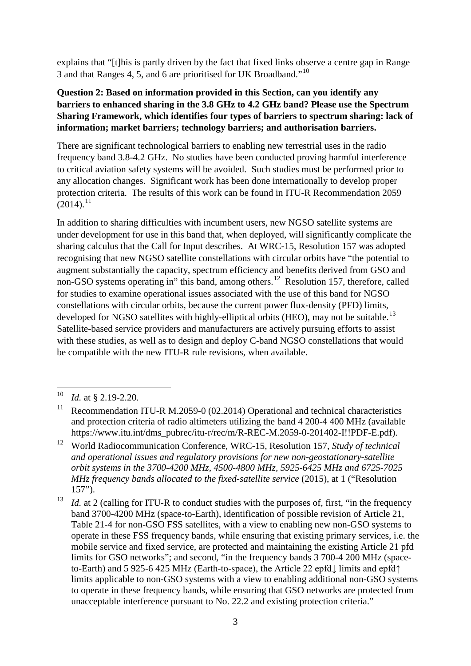explains that "[t]his is partly driven by the fact that fixed links observe a centre gap in Range 3 and that Ranges 4, 5, and 6 are prioritised for UK Broadband."[10](#page-2-0)

# **Question 2: Based on information provided in this Section, can you identify any barriers to enhanced sharing in the 3.8 GHz to 4.2 GHz band? Please use the Spectrum Sharing Framework, which identifies four types of barriers to spectrum sharing: lack of information; market barriers; technology barriers; and authorisation barriers.**

There are significant technological barriers to enabling new terrestrial uses in the radio frequency band 3.8-4.2 GHz. No studies have been conducted proving harmful interference to critical aviation safety systems will be avoided. Such studies must be performed prior to any allocation changes. Significant work has been done internationally to develop proper protection criteria. The results of this work can be found in ITU-R Recommendation 2059  $(2014)$ <sup>[11](#page-2-1)</sup>

In addition to sharing difficulties with incumbent users, new NGSO satellite systems are under development for use in this band that, when deployed, will significantly complicate the sharing calculus that the Call for Input describes. At WRC-15, Resolution 157 was adopted recognising that new NGSO satellite constellations with circular orbits have "the potential to augment substantially the capacity, spectrum efficiency and benefits derived from GSO and non-GSO systems operating in" this band, among others.<sup>[12](#page-2-2)</sup> Resolution 157, therefore, called for studies to examine operational issues associated with the use of this band for NGSO constellations with circular orbits, because the current power flux-density (PFD) limits, developed for NGSO satellites with highly-elliptical orbits (HEO), may not be suitable.<sup>[13](#page-2-3)</sup> Satellite-based service providers and manufacturers are actively pursuing efforts to assist with these studies, as well as to design and deploy C-band NGSO constellations that would be compatible with the new ITU-R rule revisions, when available.

<span id="page-2-0"></span>*Id.* at § 2.19-2.20.  $10$ 

<span id="page-2-1"></span><sup>&</sup>lt;sup>11</sup> Recommendation ITU-R M.2059-0 (02.2014) Operational and technical characteristics and protection criteria of radio altimeters utilizing the band 4 200-4 400 MHz (available https://www.itu.int/dms\_pubrec/itu-r/rec/m/R-REC-M.2059-0-201402-I!!PDF-E.pdf).

<span id="page-2-2"></span><sup>12</sup> World Radiocommunication Conference, WRC-15, Resolution 157, *Study of technical and operational issues and regulatory provisions for new non-geostationary-satellite orbit systems in the 3700-4200 MHz, 4500-4800 MHz, 5925-6425 MHz and 6725-7025 MHz frequency bands allocated to the fixed-satellite service* (2015), at 1 ("Resolution 157").

<span id="page-2-3"></span><sup>&</sup>lt;sup>13</sup> *Id.* at 2 (calling for ITU-R to conduct studies with the purposes of, first, "in the frequency band 3700-4200 MHz (space-to-Earth), identification of possible revision of Article 21, Table 21-4 for non-GSO FSS satellites, with a view to enabling new non-GSO systems to operate in these FSS frequency bands, while ensuring that existing primary services, i.e. the mobile service and fixed service, are protected and maintaining the existing Article 21 pfd limits for GSO networks"; and second, "in the frequency bands 3 700-4 200 MHz (spaceto-Earth) and 5 925-6 425 MHz (Earth-to-space), the Article 22 epfd↓ limits and epfd↑ limits applicable to non-GSO systems with a view to enabling additional non-GSO systems to operate in these frequency bands, while ensuring that GSO networks are protected from unacceptable interference pursuant to No. 22.2 and existing protection criteria."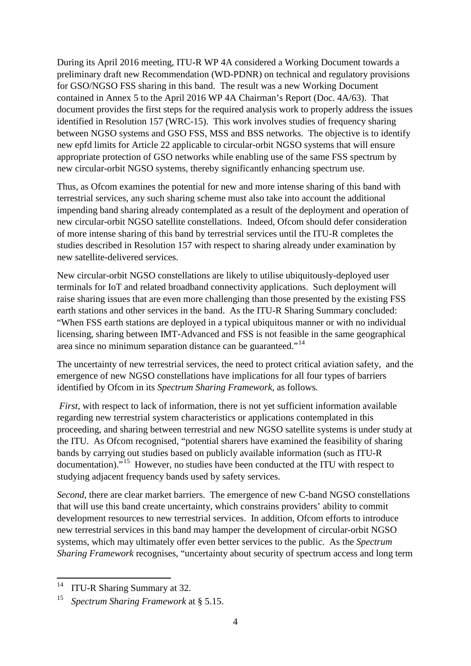During its April 2016 meeting, ITU-R WP 4A considered a Working Document towards a preliminary draft new Recommendation (WD-PDNR) on technical and regulatory provisions for GSO/NGSO FSS sharing in this band. The result was a new Working Document contained in Annex 5 to the April 2016 WP 4A Chairman's Report (Doc. 4A/63). That document provides the first steps for the required analysis work to properly address the issues identified in Resolution 157 (WRC-15). This work involves studies of frequency sharing between NGSO systems and GSO FSS, MSS and BSS networks. The objective is to identify new epfd limits for Article 22 applicable to circular-orbit NGSO systems that will ensure appropriate protection of GSO networks while enabling use of the same FSS spectrum by new circular-orbit NGSO systems, thereby significantly enhancing spectrum use.

Thus, as Ofcom examines the potential for new and more intense sharing of this band with terrestrial services, any such sharing scheme must also take into account the additional impending band sharing already contemplated as a result of the deployment and operation of new circular-orbit NGSO satellite constellations. Indeed, Ofcom should defer consideration of more intense sharing of this band by terrestrial services until the ITU-R completes the studies described in Resolution 157 with respect to sharing already under examination by new satellite-delivered services.

New circular-orbit NGSO constellations are likely to utilise ubiquitously-deployed user terminals for IoT and related broadband connectivity applications. Such deployment will raise sharing issues that are even more challenging than those presented by the existing FSS earth stations and other services in the band. As the ITU-R Sharing Summary concluded: "When FSS earth stations are deployed in a typical ubiquitous manner or with no individual licensing, sharing between IMT-Advanced and FSS is not feasible in the same geographical area since no minimum separation distance can be guaranteed."[14](#page-3-0)

The uncertainty of new terrestrial services, the need to protect critical aviation safety, and the emergence of new NGSO constellations have implications for all four types of barriers identified by Ofcom in its *Spectrum Sharing Framework*, as follows*.*

*First*, with respect to lack of information, there is not yet sufficient information available regarding new terrestrial system characteristics or applications contemplated in this proceeding, and sharing between terrestrial and new NGSO satellite systems is under study at the ITU. As Ofcom recognised, "potential sharers have examined the feasibility of sharing bands by carrying out studies based on publicly available information (such as ITU-R documentation)."[15](#page-3-1) However, no studies have been conducted at the ITU with respect to studying adjacent frequency bands used by safety services.

*Second*, there are clear market barriers. The emergence of new C-band NGSO constellations that will use this band create uncertainty, which constrains providers' ability to commit development resources to new terrestrial services. In addition, Ofcom efforts to introduce new terrestrial services in this band may hamper the development of circular-orbit NGSO systems, which may ultimately offer even better services to the public. As the *Spectrum Sharing Framework* recognises, "uncertainty about security of spectrum access and long term

<span id="page-3-0"></span>ITU-R Sharing Summary at 32. 14

<span id="page-3-1"></span><sup>15</sup> *Spectrum Sharing Framework* at § 5.15.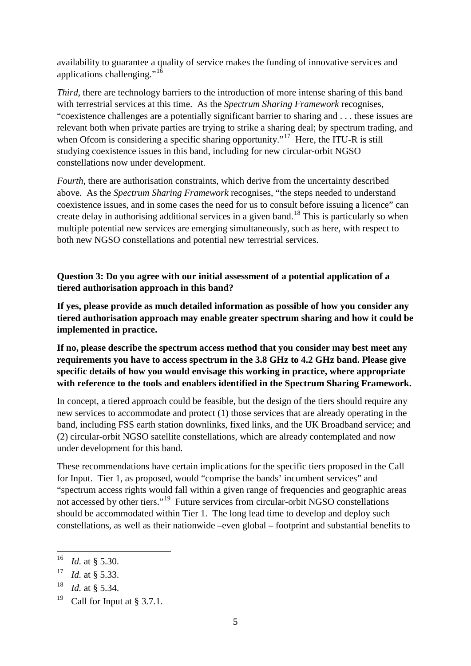availability to guarantee a quality of service makes the funding of innovative services and applications challenging."<sup>[16](#page-4-0)</sup>

*Third*, there are technology barriers to the introduction of more intense sharing of this band with terrestrial services at this time. As the *Spectrum Sharing Framework* recognises, "coexistence challenges are a potentially significant barrier to sharing and . . . these issues are relevant both when private parties are trying to strike a sharing deal; by spectrum trading, and when Ofcom is considering a specific sharing opportunity."<sup>[17](#page-4-1)</sup> Here, the ITU-R is still studying coexistence issues in this band, including for new circular-orbit NGSO constellations now under development.

*Fourth*, there are authorisation constraints, which derive from the uncertainty described above. As the *Spectrum Sharing Framework* recognises, "the steps needed to understand coexistence issues, and in some cases the need for us to consult before issuing a licence" can create delay in authorising additional services in a given band.[18](#page-4-2) This is particularly so when multiple potential new services are emerging simultaneously, such as here, with respect to both new NGSO constellations and potential new terrestrial services.

# **Question 3: Do you agree with our initial assessment of a potential application of a tiered authorisation approach in this band?**

**If yes, please provide as much detailed information as possible of how you consider any tiered authorisation approach may enable greater spectrum sharing and how it could be implemented in practice.** 

**If no, please describe the spectrum access method that you consider may best meet any requirements you have to access spectrum in the 3.8 GHz to 4.2 GHz band. Please give specific details of how you would envisage this working in practice, where appropriate with reference to the tools and enablers identified in the Spectrum Sharing Framework.** 

In concept, a tiered approach could be feasible, but the design of the tiers should require any new services to accommodate and protect (1) those services that are already operating in the band, including FSS earth station downlinks, fixed links, and the UK Broadband service; and (2) circular-orbit NGSO satellite constellations, which are already contemplated and now under development for this band.

These recommendations have certain implications for the specific tiers proposed in the Call for Input. Tier 1, as proposed, would "comprise the bands' incumbent services" and "spectrum access rights would fall within a given range of frequencies and geographic areas not accessed by other tiers."[19](#page-4-3) Future services from circular-orbit NGSO constellations should be accommodated within Tier 1. The long lead time to develop and deploy such constellations, as well as their nationwide –even global – footprint and substantial benefits to

**.** 

<span id="page-4-0"></span><sup>16</sup> *Id.* at § 5.30.

<span id="page-4-1"></span><sup>17</sup> *Id.* at § 5.33.

<span id="page-4-2"></span><sup>18</sup> *Id.* at § 5.34.

<span id="page-4-3"></span><sup>&</sup>lt;sup>19</sup> Call for Input at § 3.7.1.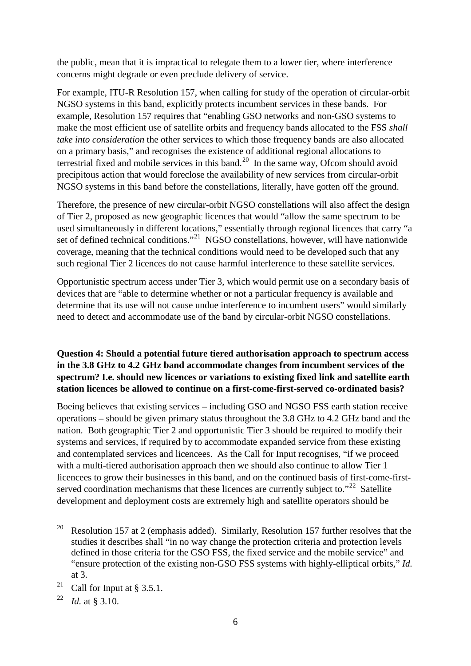the public, mean that it is impractical to relegate them to a lower tier, where interference concerns might degrade or even preclude delivery of service.

For example, ITU-R Resolution 157, when calling for study of the operation of circular-orbit NGSO systems in this band, explicitly protects incumbent services in these bands. For example, Resolution 157 requires that "enabling GSO networks and non-GSO systems to make the most efficient use of satellite orbits and frequency bands allocated to the FSS *shall take into consideration* the other services to which those frequency bands are also allocated on a primary basis," and recognises the existence of additional regional allocations to terrestrial fixed and mobile services in this band.<sup>20</sup> In the same way, Ofcom should avoid precipitous action that would foreclose the availability of new services from circular-orbit NGSO systems in this band before the constellations, literally, have gotten off the ground.

Therefore, the presence of new circular-orbit NGSO constellations will also affect the design of Tier 2, proposed as new geographic licences that would "allow the same spectrum to be used simultaneously in different locations," essentially through regional licences that carry "a set of defined technical conditions."<sup>21</sup> NGSO constellations, however, will have nationwide coverage, meaning that the technical conditions would need to be developed such that any such regional Tier 2 licences do not cause harmful interference to these satellite services.

Opportunistic spectrum access under Tier 3, which would permit use on a secondary basis of devices that are "able to determine whether or not a particular frequency is available and determine that its use will not cause undue interference to incumbent users" would similarly need to detect and accommodate use of the band by circular-orbit NGSO constellations.

# **Question 4: Should a potential future tiered authorisation approach to spectrum access in the 3.8 GHz to 4.2 GHz band accommodate changes from incumbent services of the spectrum? I.e. should new licences or variations to existing fixed link and satellite earth station licences be allowed to continue on a first-come-first-served co-ordinated basis?**

Boeing believes that existing services – including GSO and NGSO FSS earth station receive operations – should be given primary status throughout the 3.8 GHz to 4.2 GHz band and the nation. Both geographic Tier 2 and opportunistic Tier 3 should be required to modify their systems and services, if required by to accommodate expanded service from these existing and contemplated services and licencees. As the Call for Input recognises, "if we proceed with a multi-tiered authorisation approach then we should also continue to allow Tier 1 licencees to grow their businesses in this band, and on the continued basis of first-come-firstserved coordination mechanisms that these licences are currently subject to." $22$  Satellite development and deployment costs are extremely high and satellite operators should be

<span id="page-5-0"></span>Resolution 157 at 2 (emphasis added). Similarly, Resolution 157 further resolves that the studies it describes shall "in no way change the protection criteria and protection levels defined in those criteria for the GSO FSS, the fixed service and the mobile service" and "ensure protection of the existing non-GSO FSS systems with highly-elliptical orbits," *Id.*  at 3. 20

<span id="page-5-1"></span><sup>&</sup>lt;sup>21</sup> Call for Input at § 3.5.1.

<span id="page-5-2"></span><sup>22</sup> *Id.* at § 3.10.